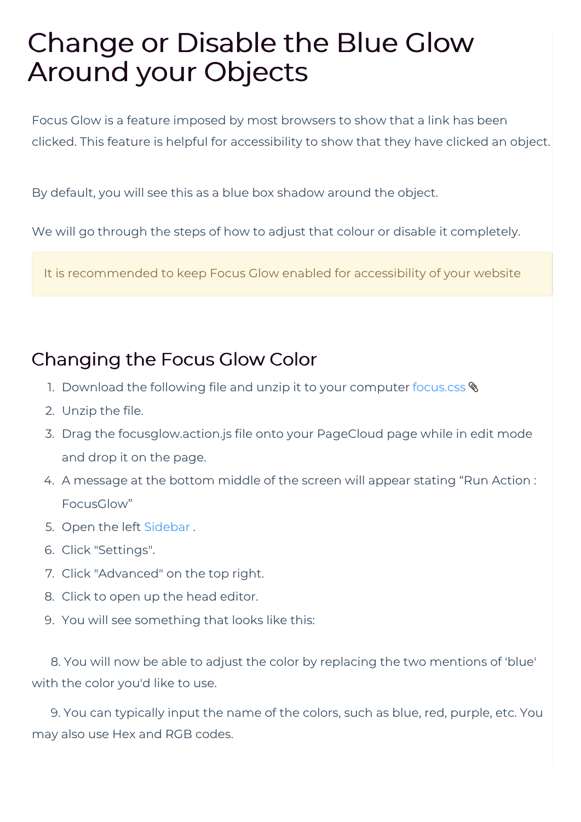## Change or Disable the Blue Glow Around your Objects

Focus Glow is a feature imposed by most browsers to show that a link has been clicked. This feature is helpful for accessibility to show that they have clicked an object.

By default, you will see this as a blue box shadow around the object.

We will go through the steps of how to adjust that colour or disable it completely.

It is recommended to keep Focus Glow enabled for accessibility of your website

## Changing the Focus Glow Color

- 1. Download the following file and unzip it to your computer focus.css  $\textcircled{}$
- 2. Unzip the file.
- 3. Drag the focusglow.action.js file onto your PageCloud page while in edit mode and drop it on the page.
- 4. A message at the bottom middle of the screen will appear stating "Run Action : FocusGlow"
- 5. Open the left Sidebar .
- 6. Click "Settings".
- 7. Click "Advanced" on the top right.
- 8. Click to open up the head editor.
- 9. You will see something that looks like this:

8. You will now be able to adjust the color by replacing the two mentions of 'blue' with the color you'd like to use.

9. You can typically input the name of the colors, such as blue, red, purple, etc. You may also use Hex and RGB codes.